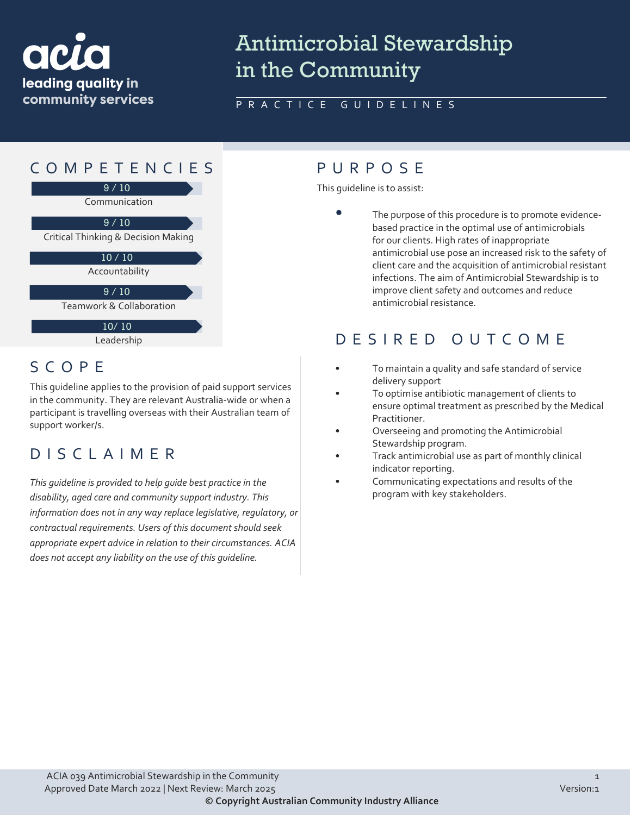

# Antimicrobial Stewardship in the Community

### PRACTICE GUIDELINES



## SCOPE

This guideline applies to the provision of paid support services in the community. They are relevant Australia-wide or when a participant is travelling overseas with their Australian team of support worker/s.

### DISCLAIMER

*This guideline is provided to help guide best practice in the disability, aged care and community support industry. This information does not in any way replace legislative, regulatory, or contractual requirements. Users of this document should seek appropriate expert advice in relation to their circumstances. ACIA does not accept any liability on the use of this guideline.*

This guideline is to assist:

The purpose of this procedure is to promote evidencebased practice in the optimal use of antimicrobials for our clients. High rates of inappropriate antimicrobial use pose an increased risk to the safety of client care and the acquisition of antimicrobial resistant infections. The aim of Antimicrobial Stewardship is to improve client safety and outcomes and reduce antimicrobial resistance.

### DESIRED OUTCOME

- To maintain a quality and safe standard of service delivery support
- To optimise antibiotic management of clients to ensure optimal treatment as prescribed by the Medical Practitioner.
- Overseeing and promoting the Antimicrobial Stewardship program.
- Track antimicrobial use as part of monthly clinical indicator reporting.
- Communicating expectations and results of the program with key stakeholders.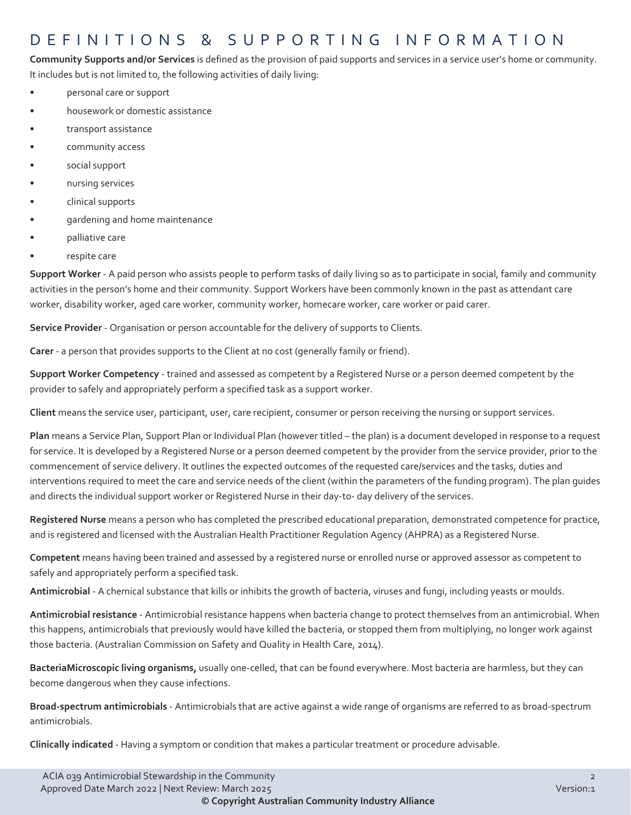### DEFINITIONS & SUPPORTING INFORMATIO N

**Community Supports and/or Services** is defined as the provision of paid supports and services in a service user's home or community. It includes but is not limited to, the following activities of daily living:

- personal care or support
- housework or domestic assistance
- transport assistance
- community access
- social support
- nursing services
- clinical supports
- gardening and home maintenance
- palliative care
- respite care

**Support Worker** - A paid person who assists people to perform tasks of daily living so as to participate in social, family and community activities in the person's home and their community. Support Workers have been commonly known in the past as attendant care worker, disability worker, aged care worker, community worker, homecare worker, care worker or paid carer.

**Service Provider** - Organisation or person accountable for the delivery of supports to Clients.

**Carer** - a person that provides supports to the Client at no cost (generally family or friend).

**Support Worker Competency** - trained and assessed as competent by a Registered Nurse or a person deemed competent by the provider to safely and appropriately perform a specified task as a support worker.

**Client** means the service user, participant, user, care recipient, consumer or person receiving the nursing or support services.

**Plan** means a Service Plan, Support Plan or Individual Plan (however titled – the plan) is a document developed in response to a request for service. It is developed by a Registered Nurse or a person deemed competent by the provider from the service provider, prior to the commencement of service delivery. It outlines the expected outcomes of the requested care/services and the tasks, duties and interventions required to meet the care and service needs of the client (within the parameters of the funding program). The plan guides and directs the individual support worker or Registered Nurse in their day-to- day delivery of the services.

**Registered Nurse** means a person who has completed the prescribed educational preparation, demonstrated competence for practice, and is registered and licensed with the Australian Health Practitioner Regulation Agency (AHPRA) as a Registered Nurse.

**Competent** means having been trained and assessed by a registered nurse or enrolled nurse or approved assessor as competent to safely and appropriately perform a specified task.

**Antimicrobial** - A chemical substance that kills or inhibits the growth of bacteria, viruses and fungi, including yeasts or moulds.

**Antimicrobial resistance** - Antimicrobial resistance happens when bacteria change to protect themselves from an antimicrobial. When this happens, antimicrobials that previously would have killed the bacteria, or stopped them from multiplying, no longer work against those bacteria. (Australian Commission on Safety and Quality in Health Care, 2014).

**BacteriaMicroscopic living organisms,** usually one-celled, that can be found everywhere. Most bacteria are harmless, but they can become dangerous when they cause infections.

**Broad-spectrum antimicrobials** - Antimicrobials that are active against a wide range of organisms are referred to as broad-spectrum antimicrobials.

**Clinically indicated** - Having a symptom or condition that makes a particular treatment or procedure advisable.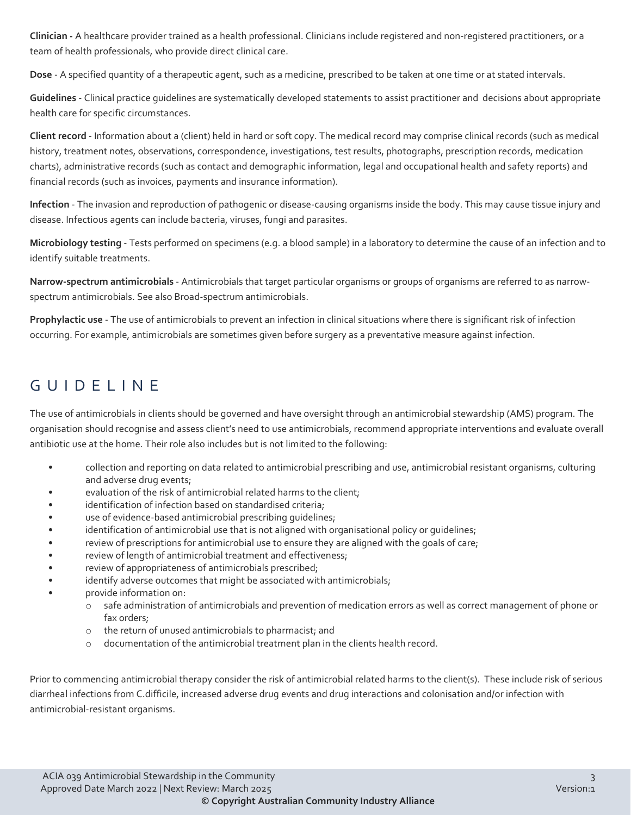**Clinician -** A healthcare provider trained as a health professional. Clinicians include registered and non-registered practitioners, or a team of health professionals, who provide direct clinical care.

**Dose** - A specified quantity of a therapeutic agent, such as a medicine, prescribed to be taken at one time or at stated intervals.

**Guidelines** - Clinical practice guidelines are systematically developed statements to assist practitioner and decisions about appropriate health care for specific circumstances.

**Client record** - Information about a (client) held in hard or soft copy. The medical record may comprise clinical records (such as medical history, treatment notes, observations, correspondence, investigations, test results, photographs, prescription records, medication charts), administrative records (such as contact and demographic information, legal and occupational health and safety reports) and financial records (such as invoices, payments and insurance information).

**Infection** - The invasion and reproduction of pathogenic or disease-causing organisms inside the body. This may cause tissue injury and disease. Infectious agents can include bacteria, viruses, fungi and parasites.

**Microbiology testing** - Tests performed on specimens (e.g. a blood sample) in a laboratory to determine the cause of an infection and to identify suitable treatments.

**Narrow-spectrum antimicrobials** - Antimicrobials that target particular organisms or groups of organisms are referred to as narrowspectrum antimicrobials. See also Broad-spectrum antimicrobials.

**Prophylactic use** - The use of antimicrobials to prevent an infection in clinical situations where there is significant risk of infection occurring. For example, antimicrobials are sometimes given before surgery as a preventative measure against infection.

### GUIDELINE

The use of antimicrobials in clients should be governed and have oversight through an antimicrobial stewardship (AMS) program. The organisation should recognise and assess client's need to use antimicrobials, recommend appropriate interventions and evaluate overall antibiotic use at the home. Their role also includes but is not limited to the following:

- collection and reporting on data related to antimicrobial prescribing and use, antimicrobial resistant organisms, culturing and adverse drug events;
- evaluation of the risk of antimicrobial related harms to the client;
- identification of infection based on standardised criteria;
- use of evidence-based antimicrobial prescribing guidelines;
- identification of antimicrobial use that is not aligned with organisational policy or guidelines;
- review of prescriptions for antimicrobial use to ensure they are aligned with the goals of care;
- review of length of antimicrobial treatment and effectiveness;
- review of appropriateness of antimicrobials prescribed;
- identify adverse outcomes that might be associated with antimicrobials;
- provide information on:
	- o safe administration of antimicrobials and prevention of medication errors as well as correct management of phone or fax orders;
	- o the return of unused antimicrobials to pharmacist; and
	- $\circ$  documentation of the antimicrobial treatment plan in the clients health record.

Prior to commencing antimicrobial therapy consider the risk of antimicrobial related harms to the client(s). These include risk of serious diarrheal infections from C.difficile, increased adverse drug events and drug interactions and colonisation and/or infection with antimicrobial-resistant organisms.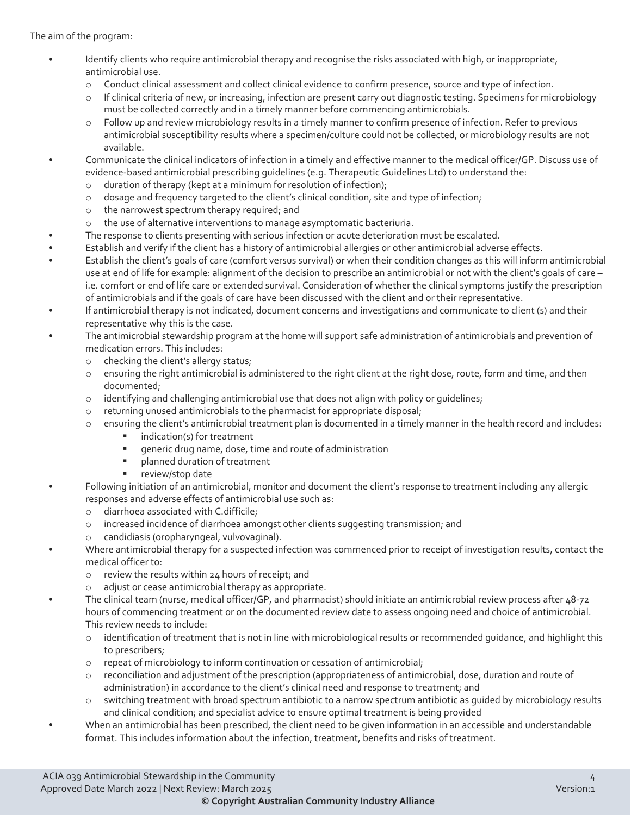The aim of the program:

- Identify clients who require antimicrobial therapy and recognise the risks associated with high, or inappropriate, antimicrobial use.
	- o Conduct clinical assessment and collect clinical evidence to confirm presence, source and type of infection.
	- o If clinical criteria of new, or increasing, infection are present carry out diagnostic testing. Specimens for microbiology must be collected correctly and in a timely manner before commencing antimicrobials.
	- o Follow up and review microbiology results in a timely manner to confirm presence of infection. Refer to previous antimicrobial susceptibility results where a specimen/culture could not be collected, or microbiology results are not available.
- Communicate the clinical indicators of infection in a timely and effective manner to the medical officer/GP. Discuss use of evidence-based antimicrobial prescribing guidelines (e.g. Therapeutic Guidelines Ltd) to understand the:
	- o duration of therapy (kept at a minimum for resolution of infection);
	- o dosage and frequency targeted to the client's clinical condition, site and type of infection;
	- o the narrowest spectrum therapy required; and
	- o the use of alternative interventions to manage asymptomatic bacteriuria.
- The response to clients presenting with serious infection or acute deterioration must be escalated.
- Establish and verify if the client has a history of antimicrobial allergies or other antimicrobial adverse effects.
- Establish the client's goals of care (comfort versus survival) or when their condition changes as this will inform antimicrobial use at end of life for example: alignment of the decision to prescribe an antimicrobial or not with the client's goals of care – i.e. comfort or end of life care or extended survival. Consideration of whether the clinical symptoms justify the prescription of antimicrobials and if the goals of care have been discussed with the client and or their representative.
- If antimicrobial therapy is not indicated, document concerns and investigations and communicate to client (s) and their representative why this is the case.
- The antimicrobial stewardship program at the home will support safe administration of antimicrobials and prevention of medication errors. This includes:
	- o checking the client's allergy status;
	- o ensuring the right antimicrobial is administered to the right client at the right dose, route, form and time, and then documented;
	- o identifying and challenging antimicrobial use that does not align with policy or guidelines;
	- o returning unused antimicrobials to the pharmacist for appropriate disposal;
	- o ensuring the client's antimicrobial treatment plan is documented in a timely manner in the health record and includes:
		- $\blacksquare$  indication(s) for treatment
		- generic drug name, dose, time and route of administration
		- **Palanned duration of treatment**
		- review/stop date
- Following initiation of an antimicrobial, monitor and document the client's response to treatment including any allergic responses and adverse effects of antimicrobial use such as:
	- o diarrhoea associated with C.difficile;
	- o increased incidence of diarrhoea amongst other clients suggesting transmission; and
	- o candidiasis (oropharyngeal, vulvovaginal).
- Where antimicrobial therapy for a suspected infection was commenced prior to receipt of investigation results, contact the medical officer to:
	- o review the results within 24 hours of receipt; and
	- o adjust or cease antimicrobial therapy as appropriate.
	- The clinical team (nurse, medical officer/GP, and pharmacist) should initiate an antimicrobial review process after 48-72 hours of commencing treatment or on the documented review date to assess ongoing need and choice of antimicrobial. This review needs to include:
		- $\circ$  identification of treatment that is not in line with microbiological results or recommended guidance, and highlight this to prescribers;
		- o repeat of microbiology to inform continuation or cessation of antimicrobial;
		- o reconciliation and adjustment of the prescription (appropriateness of antimicrobial, dose, duration and route of administration) in accordance to the client's clinical need and response to treatment; and
		- $\circ$  switching treatment with broad spectrum antibiotic to a narrow spectrum antibiotic as quided by microbiology results and clinical condition; and specialist advice to ensure optimal treatment is being provided
- When an antimicrobial has been prescribed, the client need to be given information in an accessible and understandable format. This includes information about the infection, treatment, benefits and risks of treatment.